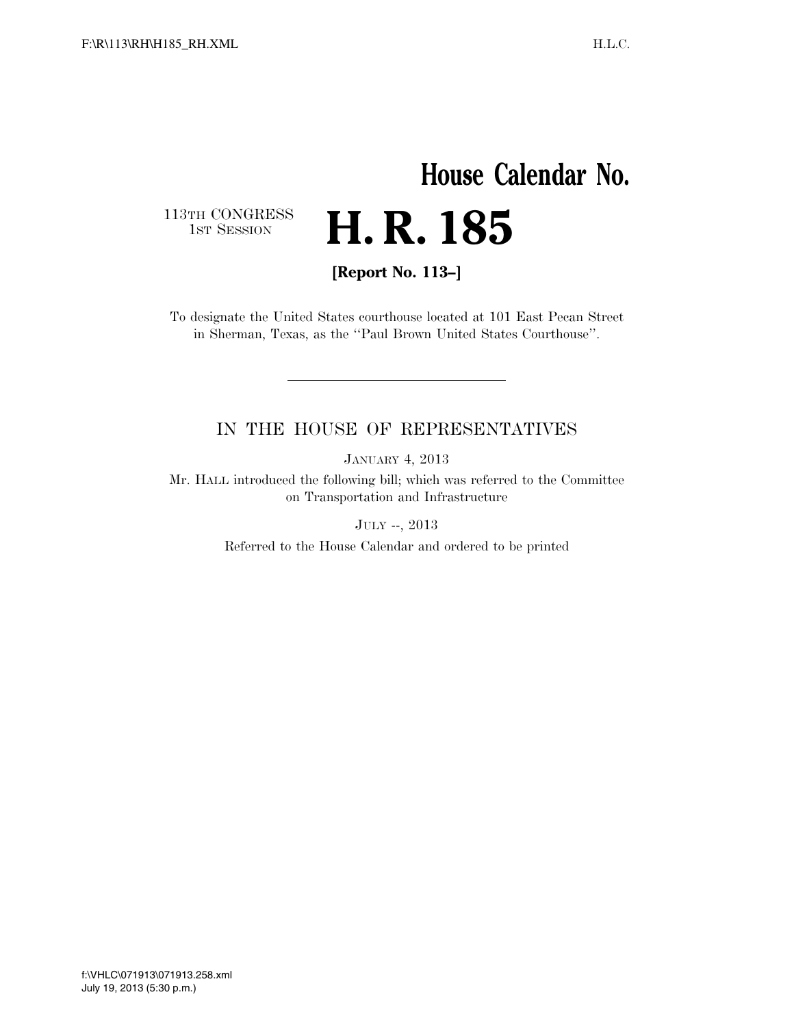## **House Calendar No.** H. R. 185

113TH CONGRESS<br>1st Session

**[Report No. 113–]** 

To designate the United States courthouse located at 101 East Pecan Street in Sherman, Texas, as the ''Paul Brown United States Courthouse''.

## IN THE HOUSE OF REPRESENTATIVES

JANUARY 4, 2013

Mr. HALL introduced the following bill; which was referred to the Committee on Transportation and Infrastructure

JULY --, 2013

Referred to the House Calendar and ordered to be printed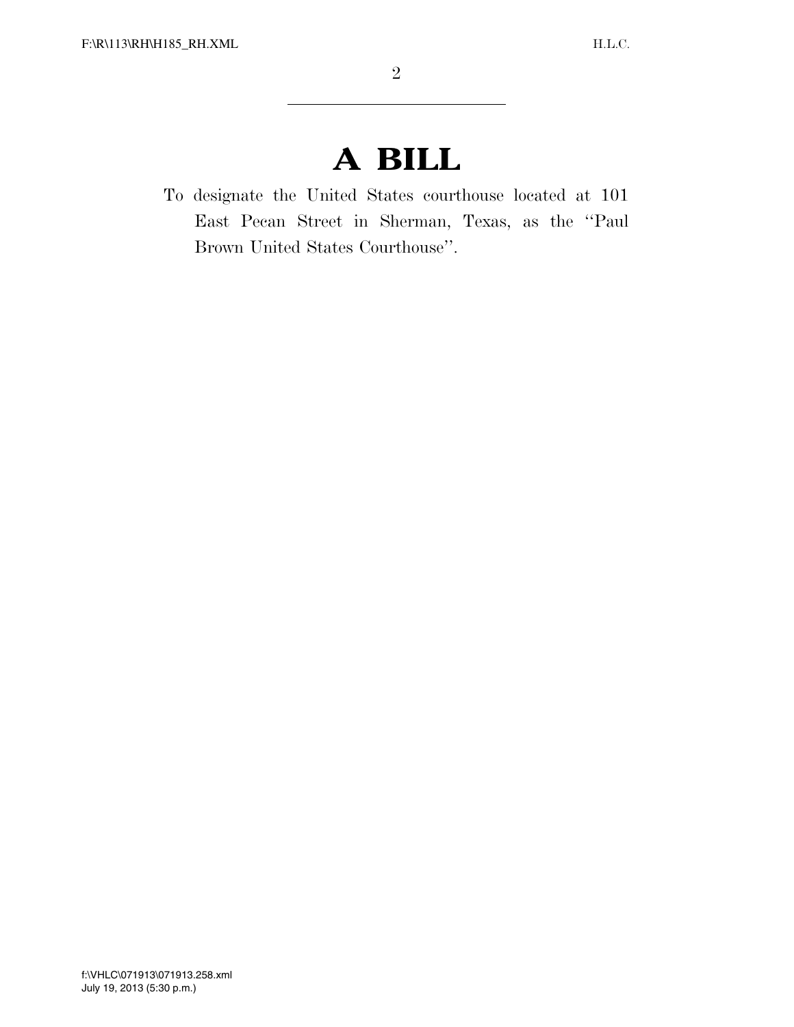## **A BILL**

To designate the United States courthouse located at 101 East Pecan Street in Sherman, Texas, as the ''Paul Brown United States Courthouse''.